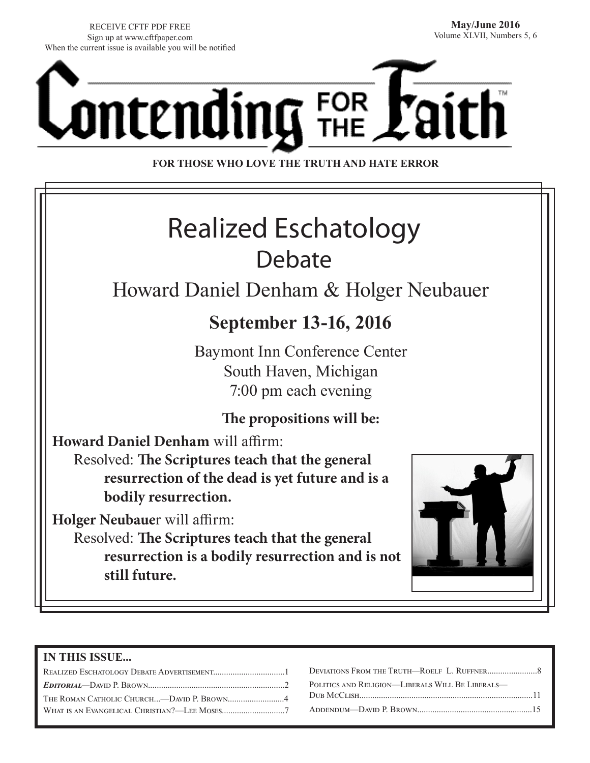RECEIVE CFTF PDF FREE Sign up at www.cftfpaper.com When the current issue is available you will be notified



**FOR THOSE WHO LOVE THE TRUTH AND HATE ERROR**

# Realized Eschatology Debate

## Howard Daniel Denham & Holger Neubauer

## **September 13-16, 2016**

Baymont Inn Conference Center South Haven, Michigan 7:00 pm each evening

### **The propositions will be:**

**Howard Daniel Denham** will affirm:

Resolved: **The Scriptures teach that the general resurrection of the dead is yet future and is a bodily resurrection.**

**Holger Neubaue**r will affirm:

Resolved: **The Scriptures teach that the general resurrection is a bodily resurrection and is not still future.**



#### **IN THIS ISSUE...**

| THE ROMAN CATHOLIC CHURCH—DAVID P. BROWN4 |  |
|-------------------------------------------|--|
|                                           |  |
|                                           |  |

| POLITICS AND RELIGION—LIBERALS WILL BE LIBERALS— |
|--------------------------------------------------|
|                                                  |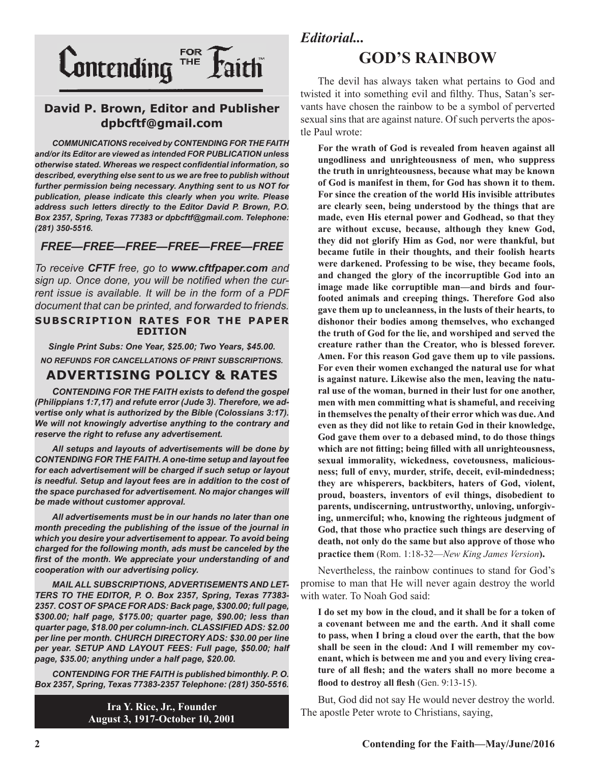

#### **David P. Brown, Editor and Publisher dpbcftf@gmail.com**

*COMMUNICATIONS received by CONTENDING FOR THE FAITH and/or its Editor are viewed as intended FOR PUBLICATION unless otherwise stated. Whereas we respect confidential information, so described, everything else sent to us we are free to publish without further permission being necessary. Anything sent to us NOT for publication, please indicate this clearly when you write. Please address such letters directly to the Editor David P. Brown, P.O. Box 2357, Spring, Texas 77383 or dpbcftf@gmail.com. Telephone: (281) 350-5516.*

#### *FREE—FREE—FREE—FREE—FREE—FREE*

*To receive CFTF free, go to www.cftfpaper.com and sign up. Once done, you will be notified when the current issue is available. It will be in the form of a PDF document that can be printed, and forwarded to friends.*

#### **SUBSCRIPTION RATES FOR THE PAPER EDITION**

*Single Print Subs: One Year, \$25.00; Two Years, \$45.00. NO REFUNDS FOR CANCELLATIONS OF PRINT SUBSCRIPTIONS.*

#### **ADVERTISING POLICY & RATES**

*CONTENDING FOR THE FAITH exists to defend the gospel (Philippians 1:7,17) and refute error (Jude 3). Therefore, we advertise only what is authorized by the Bible (Colossians 3:17). We will not knowingly advertise anything to the contrary and reserve the right to refuse any advertisement.*

*All setups and layouts of advertisements will be done by CONTENDING FOR THE FAITH. A one-time setup and layout fee for each advertisement will be charged if such setup or layout*  is needful. Setup and layout fees are in addition to the cost of *the space purchased for advertisement. No major changes will be made without customer approval.*

*All advertisements must be in our hands no later than one month preceding the publishing of the issue of the journal in which you desire your advertisement to appear. To avoid being charged for the following month, ads must be canceled by the first of the month. We appreciate your understanding of and cooperation with our advertising policy.*

*MAIL ALL SUBSCRIPTIONS, ADVERTISEMENTS AND LET-TERS TO THE EDITOR, P. O. Box 2357, Spring, Texas 77383- 2357. COST OF SPACE FOR ADS: Back page, \$300.00; full page, \$300.00; half page, \$175.00; quarter page, \$90.00; less than quarter page, \$18.00 per column-inch. CLASSIFIED ADS: \$2.00 per line per month. CHURCH DIRECTORY ADS: \$30.00 per line per year. SETUP AND LAYOUT FEES: Full page, \$50.00; half page, \$35.00; anything under a half page, \$20.00.*

*CONTENDING FOR THE FAITH is published bimonthly. P. O. Box 2357, Spring, Texas 77383-2357 Telephone: (281) 350-5516.*

> **Ira Y. Rice, Jr., Founder August 3, 1917-October 10, 2001**

#### *Editorial...*

### **GOD'S RAINBOW**

The devil has always taken what pertains to God and twisted it into something evil and filthy. Thus, Satan's servants have chosen the rainbow to be a symbol of perverted sexual sins that are against nature. Of such perverts the apostle Paul wrote:

**For the wrath of God is revealed from heaven against all ungodliness and unrighteousness of men, who suppress the truth in unrighteousness, because what may be known of God is manifest in them, for God has shown it to them. For since the creation of the world His invisible attributes are clearly seen, being understood by the things that are made, even His eternal power and Godhead, so that they are without excuse, because, although they knew God, they did not glorify Him as God, nor were thankful, but became futile in their thoughts, and their foolish hearts were darkened. Professing to be wise, they became fools, and changed the glory of the incorruptible God into an image made like corruptible man—and birds and fourfooted animals and creeping things. Therefore God also gave them up to uncleanness, in the lusts of their hearts, to dishonor their bodies among themselves, who exchanged the truth of God for the lie, and worshiped and served the creature rather than the Creator, who is blessed forever. Amen. For this reason God gave them up to vile passions. For even their women exchanged the natural use for what is against nature. Likewise also the men, leaving the natural use of the woman, burned in their lust for one another, men with men committing what is shameful, and receiving in themselves the penalty of their error which was due. And even as they did not like to retain God in their knowledge, God gave them over to a debased mind, to do those things which are not fitting; being filled with all unrighteousness, sexual immorality, wickedness, covetousness, maliciousness; full of envy, murder, strife, deceit, evil-mindedness; they are whisperers, backbiters, haters of God, violent, proud, boasters, inventors of evil things, disobedient to parents, undiscerning, untrustworthy, unloving, unforgiving, unmerciful; who, knowing the righteous judgment of God, that those who practice such things are deserving of death, not only do the same but also approve of those who practice them** (Rom. 1:18-32—*New King James Version***).**

Nevertheless, the rainbow continues to stand for God's promise to man that He will never again destroy the world with water. To Noah God said:

**I do set my bow in the cloud, and it shall be for a token of a covenant between me and the earth. And it shall come to pass, when I bring a cloud over the earth, that the bow shall be seen in the cloud: And I will remember my covenant, which is between me and you and every living creature of all flesh; and the waters shall no more become a flood to destroy all flesh** (Gen. 9:13-15).

But, God did not say He would never destroy the world. The apostle Peter wrote to Christians, saying,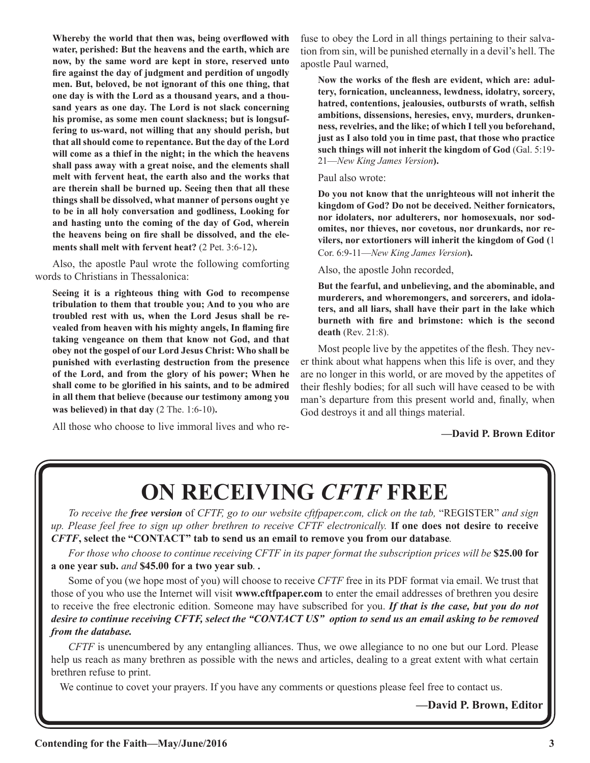**Whereby the world that then was, being overflowed with water, perished: But the heavens and the earth, which are now, by the same word are kept in store, reserved unto fire against the day of judgment and perdition of ungodly men. But, beloved, be not ignorant of this one thing, that one day is with the Lord as a thousand years, and a thousand years as one day. The Lord is not slack concerning his promise, as some men count slackness; but is longsuffering to us-ward, not willing that any should perish, but that all should come to repentance. But the day of the Lord will come as a thief in the night; in the which the heavens shall pass away with a great noise, and the elements shall melt with fervent heat, the earth also and the works that are therein shall be burned up. Seeing then that all these things shall be dissolved, what manner of persons ought ye to be in all holy conversation and godliness, Looking for and hasting unto the coming of the day of God, wherein the heavens being on fire shall be dissolved, and the elements shall melt with fervent heat?** (2 Pet. 3:6-12)**.**

Also, the apostle Paul wrote the following comforting words to Christians in Thessalonica:

**Seeing it is a righteous thing with God to recompense tribulation to them that trouble you; And to you who are troubled rest with us, when the Lord Jesus shall be revealed from heaven with his mighty angels, In flaming fire taking vengeance on them that know not God, and that obey not the gospel of our Lord Jesus Christ: Who shall be punished with everlasting destruction from the presence of the Lord, and from the glory of his power; When he shall come to be glorified in his saints, and to be admired in all them that believe (because our testimony among you was believed) in that day** (2 The. 1:6-10)**.**

All those who choose to live immoral lives and who re-

fuse to obey the Lord in all things pertaining to their salvation from sin, will be punished eternally in a devil's hell. The apostle Paul warned,

**Now the works of the flesh are evident, which are: adultery, fornication, uncleanness, lewdness, idolatry, sorcery, hatred, contentions, jealousies, outbursts of wrath, selfish ambitions, dissensions, heresies, envy, murders, drunkenness, revelries, and the like; of which I tell you beforehand, just as I also told you in time past, that those who practice such things will not inherit the kingdom of God** (Gal. 5:19- 21—*New King James Version***).**

#### Paul also wrote:

**Do you not know that the unrighteous will not inherit the kingdom of God? Do not be deceived. Neither fornicators, nor idolaters, nor adulterers, nor homosexuals, nor sodomites, nor thieves, nor covetous, nor drunkards, nor revilers, nor extortioners will inherit the kingdom of God (**1 Cor. 6:9-11—*New King James Version***).**

Also, the apostle John recorded,

**But the fearful, and unbelieving, and the abominable, and murderers, and whoremongers, and sorcerers, and idolaters, and all liars, shall have their part in the lake which burneth with fire and brimstone: which is the second death** (Rev. 21:8).

Most people live by the appetites of the flesh. They never think about what happens when this life is over, and they are no longer in this world, or are moved by the appetites of their fleshly bodies; for all such will have ceased to be with man's departure from this present world and, finally, when God destroys it and all things material.

#### **—David P. Brown Editor**

# **ON RECEIVING** *CFTF* **FREE**

*To receive the free version* of *CFTF, go to our website cftfpaper.com, click on the tab,* "REGISTER" *and sign up. Please feel free to sign up other brethren to receive CFTF electronically.* **If one does not desire to receive**  *CFTF***, select the "CONTACT" tab to send us an email to remove you from our database***.*

*For those who choose to continue receiving CFTF in its paper format the subscription prices will be* **\$25.00 for a one year sub.** *and* **\$45.00 for a two year sub***. .*

Some of you (we hope most of you) will choose to receive *CFTF* free in its PDF format via email. We trust that those of you who use the Internet will visit **www.cftfpaper.com** to enter the email addresses of brethren you desire to receive the free electronic edition. Someone may have subscribed for you. *If that is the case, but you do not desire to continue receiving CFTF, select the "CONTACT US" option to send us an email asking to be removed from the database.*

*CFTF* is unencumbered by any entangling alliances. Thus, we owe allegiance to no one but our Lord. Please help us reach as many brethren as possible with the news and articles, dealing to a great extent with what certain brethren refuse to print.

We continue to covet your prayers. If you have any comments or questions please feel free to contact us.

**—David P. Brown, Editor**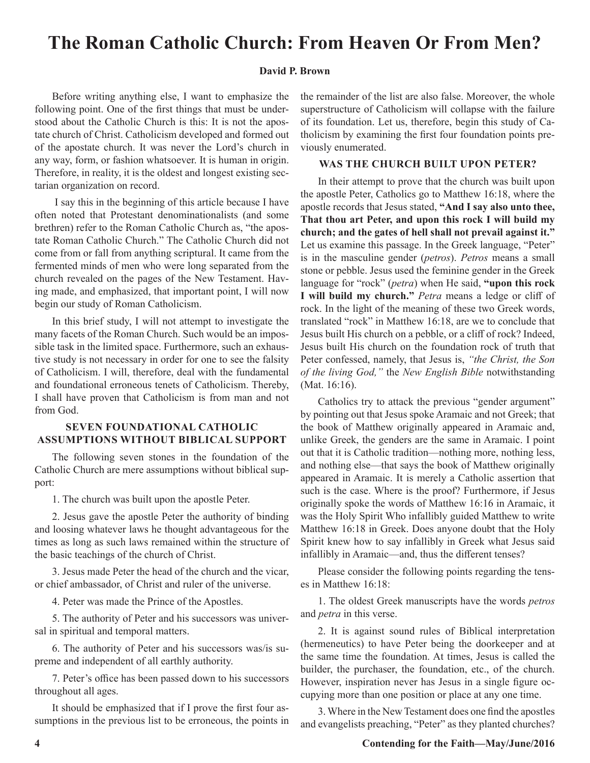## **The Roman Catholic Church: From Heaven Or From Men?**

#### **David P. Brown**

Before writing anything else, I want to emphasize the following point. One of the first things that must be understood about the Catholic Church is this: It is not the apostate church of Christ. Catholicism developed and formed out of the apostate church. It was never the Lord's church in any way, form, or fashion whatsoever. It is human in origin. Therefore, in reality, it is the oldest and longest existing sectarian organization on record.

 I say this in the beginning of this article because I have often noted that Protestant denominationalists (and some brethren) refer to the Roman Catholic Church as, "the apostate Roman Catholic Church." The Catholic Church did not come from or fall from anything scriptural. It came from the fermented minds of men who were long separated from the church revealed on the pages of the New Testament. Having made, and emphasized, that important point, I will now begin our study of Roman Catholicism.

In this brief study, I will not attempt to investigate the many facets of the Roman Church. Such would be an impossible task in the limited space. Furthermore, such an exhaustive study is not necessary in order for one to see the falsity of Catholicism. I will, therefore, deal with the fundamental and foundational erroneous tenets of Catholicism. Thereby, I shall have proven that Catholicism is from man and not from God.

#### **SEVEN FOUNDATIONAL CATHOLIC ASSUMPTIONS WITHOUT BIBLICAL SUPPORT**

The following seven stones in the foundation of the Catholic Church are mere assumptions without biblical support:

1. The church was built upon the apostle Peter.

2. Jesus gave the apostle Peter the authority of binding and loosing whatever laws he thought advantageous for the times as long as such laws remained within the structure of the basic teachings of the church of Christ.

3. Jesus made Peter the head of the church and the vicar, or chief ambassador, of Christ and ruler of the universe.

4. Peter was made the Prince of the Apostles.

5. The authority of Peter and his successors was universal in spiritual and temporal matters.

6. The authority of Peter and his successors was/is supreme and independent of all earthly authority.

7. Peter's office has been passed down to his successors throughout all ages.

It should be emphasized that if I prove the first four assumptions in the previous list to be erroneous, the points in the remainder of the list are also false. Moreover, the whole superstructure of Catholicism will collapse with the failure of its foundation. Let us, therefore, begin this study of Catholicism by examining the first four foundation points previously enumerated.

#### **WAS THE CHURCH BUILT UPON PETER?**

In their attempt to prove that the church was built upon the apostle Peter, Catholics go to Matthew 16:18, where the apostle records that Jesus stated, **"And I say also unto thee, That thou art Peter, and upon this rock I will build my church; and the gates of hell shall not prevail against it."** Let us examine this passage. In the Greek language, "Peter" is in the masculine gender (*petros*). *Petros* means a small stone or pebble. Jesus used the feminine gender in the Greek language for "rock" (*petra*) when He said, **"upon this rock I will build my church."** *Petra* means a ledge or cliff of rock. In the light of the meaning of these two Greek words, translated "rock" in Matthew 16:18, are we to conclude that Jesus built His church on a pebble, or a cliff of rock? Indeed, Jesus built His church on the foundation rock of truth that Peter confessed, namely, that Jesus is, *"the Christ, the Son of the living God,"* the *New English Bible* notwithstanding (Mat. 16:16).

Catholics try to attack the previous "gender argument" by pointing out that Jesus spoke Aramaic and not Greek; that the book of Matthew originally appeared in Aramaic and, unlike Greek, the genders are the same in Aramaic. I point out that it is Catholic tradition—nothing more, nothing less, and nothing else—that says the book of Matthew originally appeared in Aramaic. It is merely a Catholic assertion that such is the case. Where is the proof? Furthermore, if Jesus originally spoke the words of Matthew 16:16 in Aramaic, it was the Holy Spirit Who infallibly guided Matthew to write Matthew 16:18 in Greek. Does anyone doubt that the Holy Spirit knew how to say infallibly in Greek what Jesus said infallibly in Aramaic—and, thus the different tenses?

Please consider the following points regarding the tenses in Matthew 16:18:

1. The oldest Greek manuscripts have the words *petros* and *petra* in this verse.

2. It is against sound rules of Biblical interpretation (hermeneutics) to have Peter being the doorkeeper and at the same time the foundation. At times, Jesus is called the builder, the purchaser, the foundation, etc., of the church. However, inspiration never has Jesus in a single figure occupying more than one position or place at any one time.

3. Where in the New Testament does one find the apostles and evangelists preaching, "Peter" as they planted churches?

#### **4 Contending for the Faith—May/June/2016**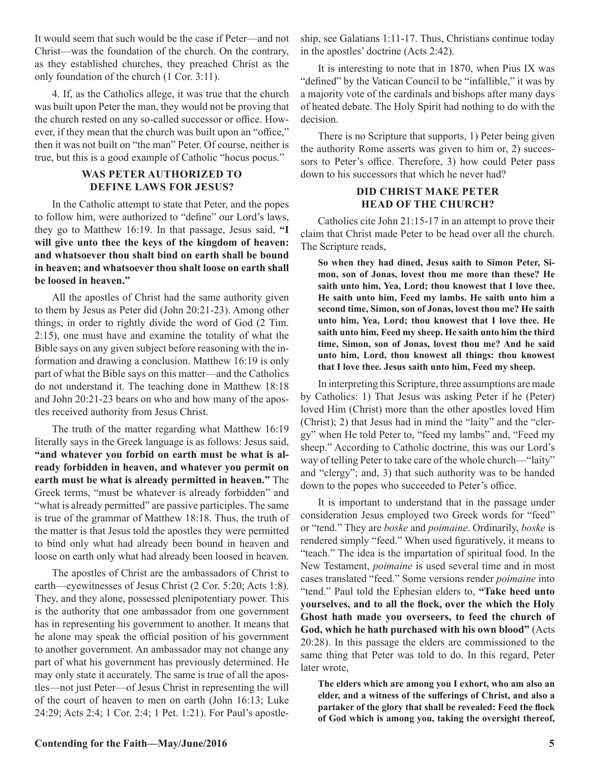It would seem that such would be the case if Peter—and not Christ—was the foundation of the church. On the contrary, as they established churches, they preached Christ as the only foundation of the church (1 Cor. 3:11).

4. If, as the Catholics allege, it was true that the church was built upon Peter the man, they would not be proving that the church rested on any so-called successor or office. However, if they mean that the church was built upon an "office," then it was not built on "the man" Peter. Of course, neither is true, but this is a good example of Catholic "hocus pocus."

#### **WAS PETER AUTHORIZED TO DEFINE LAWS FOR JESUS?**

In the Catholic attempt to state that Peter, and the popes to follow him, were authorized to "define" our Lord's laws, they go to Matthew 16:19. In that passage, Jesus said, **"I will give unto thee the keys of the kingdom of heaven: and whatsoever thou shalt bind on earth shall be bound in heaven; and whatsoever thou shalt loose on earth shall be loosed in heaven."**

All the apostles of Christ had the same authority given to them by Jesus as Peter did (John 20:21-23). Among other things, in order to rightly divide the word of God (2 Tim. 2:15), one must have and examine the totality of what the Bible says on any given subject before reasoning with the information and drawing a conclusion. Matthew 16:19 is only part of what the Bible says on this matter—and the Catholics do not understand it. The teaching done in Matthew 18:18 and John 20:21-23 bears on who and how many of the apostles received authority from Jesus Christ.

The truth of the matter regarding what Matthew 16:19 literally says in the Greek language is as follows: Jesus said, **"and whatever you forbid on earth must be what is already forbidden in heaven, and whatever you permit on earth must be what is already permitted in heaven."** The Greek terms, "must be whatever is already forbidden" and "what is already permitted" are passive participles. The same is true of the grammar of Matthew 18:18. Thus, the truth of the matter is that Jesus told the apostles they were permitted to bind only what had already been bound in heaven and loose on earth only what had already been loosed in heaven.

The apostles of Christ are the ambassadors of Christ to earth—eyewitnesses of Jesus Christ (2 Cor. 5:20; Acts 1:8). They, and they alone, possessed plenipotentiary power. This is the authority that one ambassador from one government has in representing his government to another. It means that he alone may speak the official position of his government to another government. An ambassador may not change any part of what his government has previously determined. He may only state it accurately. The same is true of all the apostles—not just Peter—of Jesus Christ in representing the will of the court of heaven to men on earth (John 16:13; Luke 24:29; Acts 2:4; 1 Cor. 2:4; 1 Pet. 1:21). For Paul's apostleship, see Galatians 1:11-17. Thus, Christians continue today in the apostles' doctrine (Acts 2:42).

It is interesting to note that in 1870, when Pius IX was "defined" by the Vatican Council to be "infallible," it was by a majority vote of the cardinals and bishops after many days of heated debate. The Holy Spirit had nothing to do with the decision.

There is no Scripture that supports, 1) Peter being given the authority Rome asserts was given to him or, 2) successors to Peter's office. Therefore, 3) how could Peter pass down to his successors that which he never had?

#### **DID CHRIST MAKE PETER HEAD OF THE CHURCH?**

Catholics cite John 21:15-17 in an attempt to prove their claim that Christ made Peter to be head over all the church. The Scripture reads,

**So when they had dined, Jesus saith to Simon Peter, Simon, son of Jonas, lovest thou me more than these? He saith unto him, Yea, Lord; thou knowest that I love thee. He saith unto him, Feed my lambs. He saith unto him a second time, Simon, son of Jonas, lovest thou me? He saith unto him, Yea, Lord; thou knowest that I love thee. He saith unto him, Feed my sheep. He saith unto him the third time, Simon, son of Jonas, lovest thou me? And he said unto him, Lord, thou knowest all things: thou knowest that I love thee. Jesus saith unto him, Feed my sheep.**

In interpreting this Scripture, three assumptions are made by Catholics: 1) That Jesus was asking Peter if he (Peter) loved Him (Christ) more than the other apostles loved Him (Christ); 2) that Jesus had in mind the "laity" and the "clergy" when He told Peter to, "feed my lambs" and, "Feed my sheep." According to Catholic doctrine, this was our Lord's way of telling Peter to take care of the whole church—"laity" and "clergy"; and, 3) that such authority was to be handed down to the popes who succeeded to Peter's office.

It is important to understand that in the passage under consideration Jesus employed two Greek words for "feed" or "tend." They are *boske* and *poimaine*. Ordinarily, *boske* is rendered simply "feed." When used figuratively, it means to "teach." The idea is the impartation of spiritual food. In the New Testament, *poimaine* is used several time and in most cases translated "feed." Some versions render *poimaine* into "tend." Paul told the Ephesian elders to, **"Take heed unto yourselves, and to all the flock, over the which the Holy Ghost hath made you overseers, to feed the church of God, which he hath purchased with his own blood"** (Acts 20:28). In this passage the elders are commissioned to the same thing that Peter was told to do. In this regard, Peter later wrote,

**The elders which are among you I exhort, who am also an elder, and a witness of the sufferings of Christ, and also a partaker of the glory that shall be revealed: Feed the flock of God which is among you, taking the oversight thereof,**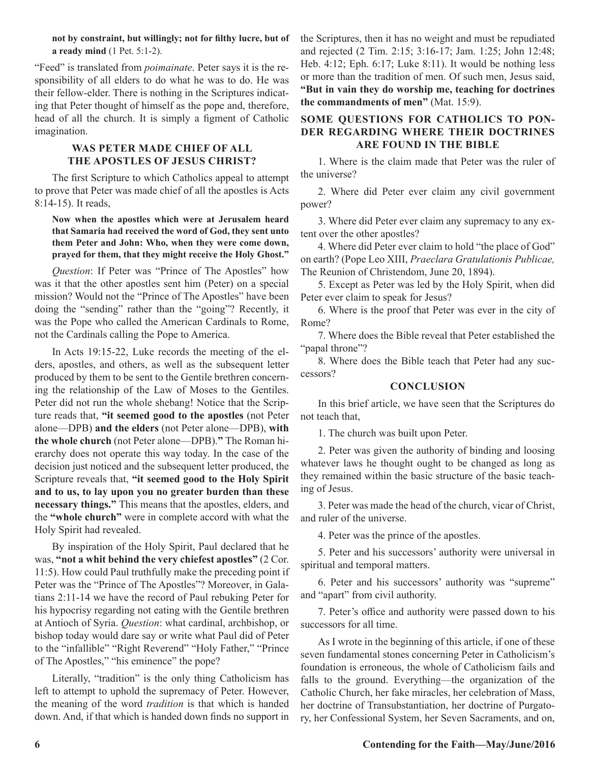#### **not by constraint, but willingly; not for filthy lucre, but of a ready mind** (1 Pet. 5:1-2).

"Feed" is translated from *poimainate*. Peter says it is the responsibility of all elders to do what he was to do. He was their fellow-elder. There is nothing in the Scriptures indicating that Peter thought of himself as the pope and, therefore, head of all the church. It is simply a figment of Catholic imagination.

#### **WAS PETER MADE CHIEF OF ALL THE APOSTLES OF JESUS CHRIST?**

The first Scripture to which Catholics appeal to attempt to prove that Peter was made chief of all the apostles is Acts 8:14-15). It reads,

#### **Now when the apostles which were at Jerusalem heard that Samaria had received the word of God, they sent unto them Peter and John: Who, when they were come down, prayed for them, that they might receive the Holy Ghost."**

*Question*: If Peter was "Prince of The Apostles" how was it that the other apostles sent him (Peter) on a special mission? Would not the "Prince of The Apostles" have been doing the "sending" rather than the "going"? Recently, it was the Pope who called the American Cardinals to Rome, not the Cardinals calling the Pope to America.

In Acts 19:15-22, Luke records the meeting of the elders, apostles, and others, as well as the subsequent letter produced by them to be sent to the Gentile brethren concerning the relationship of the Law of Moses to the Gentiles. Peter did not run the whole shebang! Notice that the Scripture reads that, **"it seemed good to the apostles** (not Peter alone—DPB) **and the elders** (not Peter alone—DPB), **with the whole church** (not Peter alone—DPB).**"** The Roman hierarchy does not operate this way today. In the case of the decision just noticed and the subsequent letter produced, the Scripture reveals that, **"it seemed good to the Holy Spirit and to us, to lay upon you no greater burden than these necessary things."** This means that the apostles, elders, and the **"whole church"** were in complete accord with what the Holy Spirit had revealed.

By inspiration of the Holy Spirit, Paul declared that he was, **"not a whit behind the very chiefest apostles"** (2 Cor. 11:5). How could Paul truthfully make the preceding point if Peter was the "Prince of The Apostles"? Moreover, in Galatians 2:11-14 we have the record of Paul rebuking Peter for his hypocrisy regarding not eating with the Gentile brethren at Antioch of Syria. *Question*: what cardinal, archbishop, or bishop today would dare say or write what Paul did of Peter to the "infallible" "Right Reverend" "Holy Father," "Prince of The Apostles," "his eminence" the pope?

Literally, "tradition" is the only thing Catholicism has left to attempt to uphold the supremacy of Peter. However, the meaning of the word *tradition* is that which is handed down. And, if that which is handed down finds no support in the Scriptures, then it has no weight and must be repudiated and rejected (2 Tim. 2:15; 3:16-17; Jam. 1:25; John 12:48; Heb. 4:12; Eph. 6:17; Luke 8:11). It would be nothing less or more than the tradition of men. Of such men, Jesus said, **"But in vain they do worship me, teaching for doctrines the commandments of men"** (Mat. 15:9).

#### **SOME QUESTIONS FOR CATHOLICS TO PON-DER REGARDING WHERE THEIR DOCTRINES ARE FOUND IN THE BIBLE**

1. Where is the claim made that Peter was the ruler of the universe?

2. Where did Peter ever claim any civil government power?

3. Where did Peter ever claim any supremacy to any extent over the other apostles?

4. Where did Peter ever claim to hold "the place of God" on earth? (Pope Leo XIII, *Praeclara Gratulationis Publicae,* The Reunion of Christendom, June 20, 1894).

5. Except as Peter was led by the Holy Spirit, when did Peter ever claim to speak for Jesus?

6. Where is the proof that Peter was ever in the city of Rome?

7. Where does the Bible reveal that Peter established the "papal throne"?

8. Where does the Bible teach that Peter had any successors?

#### **CONCLUSION**

In this brief article, we have seen that the Scriptures do not teach that,

1. The church was built upon Peter.

2. Peter was given the authority of binding and loosing whatever laws he thought ought to be changed as long as they remained within the basic structure of the basic teaching of Jesus.

3. Peter was made the head of the church, vicar of Christ, and ruler of the universe.

4. Peter was the prince of the apostles.

5. Peter and his successors' authority were universal in spiritual and temporal matters.

6. Peter and his successors' authority was "supreme" and "apart" from civil authority.

7. Peter's office and authority were passed down to his successors for all time.

As I wrote in the beginning of this article, if one of these seven fundamental stones concerning Peter in Catholicism's foundation is erroneous, the whole of Catholicism fails and falls to the ground. Everything—the organization of the Catholic Church, her fake miracles, her celebration of Mass, her doctrine of Transubstantiation, her doctrine of Purgatory, her Confessional System, her Seven Sacraments, and on,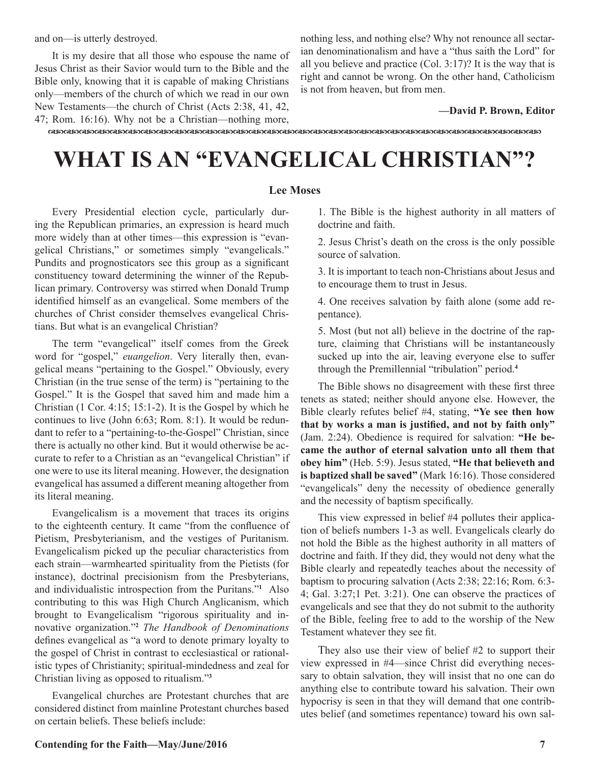and on—is utterly destroyed.

It is my desire that all those who espouse the name of Jesus Christ as their Savior would turn to the Bible and the Bible only, knowing that it is capable of making Christians only—members of the church of which we read in our own New Testaments—the church of Christ (Acts 2:38, 41, 42, 47; Rom. 16:16). Why not be a Christian—nothing more,

nothing less, and nothing else? Why not renounce all sectarian denominationalism and have a "thus saith the Lord" for all you believe and practice  $(Col. 3:17)$ ? It is the way that is right and cannot be wrong. On the other hand, Catholicism is not from heaven, but from men.

#### **—David P. Brown, Editor**

dcdcdcdcdcdcdcdcdcdcdcdcdcdcdcdcdcdcdcdcdcdcdcdcdcdcdcdcdcdcdcdc

## **WHAT IS AN "EVANGELICAL CHRISTIAN"?**

#### **Lee Moses**

Every Presidential election cycle, particularly during the Republican primaries, an expression is heard much more widely than at other times—this expression is "evangelical Christians," or sometimes simply "evangelicals." Pundits and prognosticators see this group as a significant constituency toward determining the winner of the Republican primary. Controversy was stirred when Donald Trump identified himself as an evangelical. Some members of the churches of Christ consider themselves evangelical Christians. But what is an evangelical Christian?

The term "evangelical" itself comes from the Greek word for "gospel," *euangelion*. Very literally then, evangelical means "pertaining to the Gospel." Obviously, every Christian (in the true sense of the term) is "pertaining to the Gospel." It is the Gospel that saved him and made him a Christian (1 Cor. 4:15; 15:1-2). It is the Gospel by which he continues to live (John 6:63; Rom. 8:1). It would be redundant to refer to a "pertaining-to-the-Gospel" Christian, since there is actually no other kind. But it would otherwise be accurate to refer to a Christian as an "evangelical Christian" if one were to use its literal meaning. However, the designation evangelical has assumed a different meaning altogether from its literal meaning.

Evangelicalism is a movement that traces its origins to the eighteenth century. It came "from the confluence of Pietism, Presbyterianism, and the vestiges of Puritanism. Evangelicalism picked up the peculiar characteristics from each strain—warmhearted spirituality from the Pietists (for instance), doctrinal precisionism from the Presbyterians, and individualistic introspection from the Puritans."**<sup>1</sup>** Also contributing to this was High Church Anglicanism, which brought to Evangelicalism "rigorous spirituality and innovative organization."**<sup>2</sup>** *The Handbook of Denominations* defines evangelical as "a word to denote primary loyalty to the gospel of Christ in contrast to ecclesiastical or rationalistic types of Christianity; spiritual-mindedness and zeal for Christian living as opposed to ritualism."**<sup>3</sup>**

Evangelical churches are Protestant churches that are considered distinct from mainline Protestant churches based on certain beliefs. These beliefs include:

1. The Bible is the highest authority in all matters of doctrine and faith.

2. Jesus Christ's death on the cross is the only possible source of salvation.

3. It is important to teach non-Christians about Jesus and to encourage them to trust in Jesus.

4. One receives salvation by faith alone (some add repentance).

5. Most (but not all) believe in the doctrine of the rapture, claiming that Christians will be instantaneously sucked up into the air, leaving everyone else to suffer through the Premillennial "tribulation" period.**<sup>4</sup>**

The Bible shows no disagreement with these first three tenets as stated; neither should anyone else. However, the Bible clearly refutes belief #4, stating, **"Ye see then how that by works a man is justified, and not by faith only"**  (Jam. 2:24). Obedience is required for salvation: **"He became the author of eternal salvation unto all them that obey him"** (Heb. 5:9). Jesus stated, **"He that believeth and is baptized shall be saved"** (Mark 16:16). Those considered "evangelicals" deny the necessity of obedience generally and the necessity of baptism specifically.

This view expressed in belief #4 pollutes their application of beliefs numbers 1-3 as well. Evangelicals clearly do not hold the Bible as the highest authority in all matters of doctrine and faith. If they did, they would not deny what the Bible clearly and repeatedly teaches about the necessity of baptism to procuring salvation (Acts 2:38; 22:16; Rom. 6:3- 4; Gal. 3:27;1 Pet. 3:21). One can observe the practices of evangelicals and see that they do not submit to the authority of the Bible, feeling free to add to the worship of the New Testament whatever they see fit.

They also use their view of belief #2 to support their view expressed in #4—since Christ did everything necessary to obtain salvation, they will insist that no one can do anything else to contribute toward his salvation. Their own hypocrisy is seen in that they will demand that one contributes belief (and sometimes repentance) toward his own sal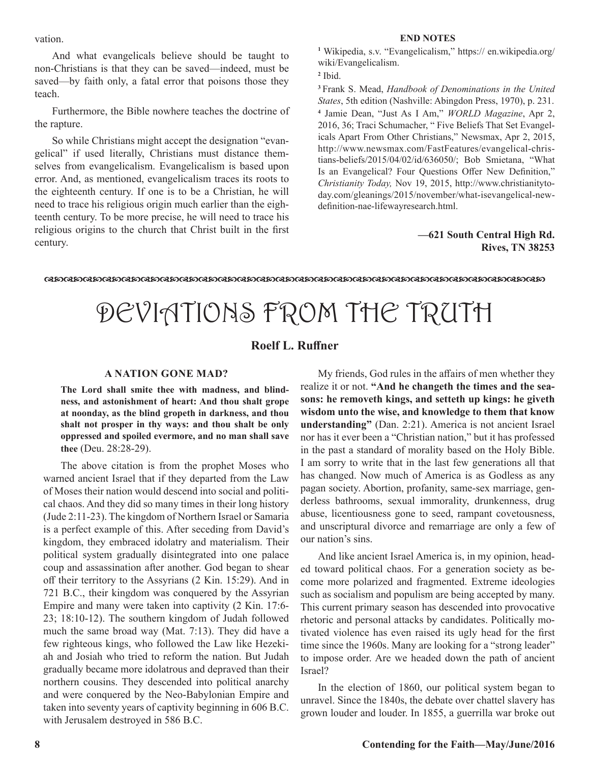vation.

And what evangelicals believe should be taught to non-Christians is that they can be saved—indeed, must be saved—by faith only, a fatal error that poisons those they teach.

Furthermore, the Bible nowhere teaches the doctrine of the rapture.

So while Christians might accept the designation "evangelical" if used literally, Christians must distance themselves from evangelicalism. Evangelicalism is based upon error. And, as mentioned, evangelicalism traces its roots to the eighteenth century. If one is to be a Christian, he will need to trace his religious origin much earlier than the eighteenth century. To be more precise, he will need to trace his religious origins to the church that Christ built in the first century.

#### **END NOTES**

**1** Wikipedia, s.v. "Evangelicalism," https:// en.wikipedia.org/ wiki/Evangelicalism.

**2** Ibid.

**<sup>3</sup>**Frank S. Mead, *Handbook of Denominations in the United States*, 5th edition (Nashville: Abingdon Press, 1970), p. 231. **4** Jamie Dean, "Just As I Am," *WORLD Magazine*, Apr 2, 2016, 36; Traci Schumacher, " Five Beliefs That Set Evangelicals Apart From Other Christians," Newsmax, Apr 2, 2015, http://www.newsmax.com/FastFeatures/evangelical-christians-beliefs/2015/04/02/id/636050/; Bob Smietana, "What Is an Evangelical? Four Questions Offer New Definition," *Christianity Today,* Nov 19, 2015, http://www.christianitytoday.com/gleanings/2015/november/what-isevangelical-newdefinition-nae-lifewayresearch.html.

#### **—621 South Central High Rd. Rives, TN 38253**

dcdcdcdcdcdcdcdcdcdcdcdcdcdcdcdcdcdcdcdcdcdcdcdcdcdc

# DEVIATIONS FROM THE TRUTH

#### **Roelf L. Ruffner**

#### **A NATION GONE MAD?**

**The Lord shall smite thee with madness, and blindness, and astonishment of heart: And thou shalt grope at noonday, as the blind gropeth in darkness, and thou shalt not prosper in thy ways: and thou shalt be only oppressed and spoiled evermore, and no man shall save thee** (Deu. 28:28-29).

The above citation is from the prophet Moses who warned ancient Israel that if they departed from the Law of Moses their nation would descend into social and political chaos. And they did so many times in their long history (Jude 2:11-23). The kingdom of Northern Israel or Samaria is a perfect example of this. After seceding from David's kingdom, they embraced idolatry and materialism. Their political system gradually disintegrated into one palace coup and assassination after another. God began to shear off their territory to the Assyrians (2 Kin. 15:29). And in 721 B.C., their kingdom was conquered by the Assyrian Empire and many were taken into captivity (2 Kin. 17:6- 23; 18:10-12). The southern kingdom of Judah followed much the same broad way (Mat. 7:13). They did have a few righteous kings, who followed the Law like Hezekiah and Josiah who tried to reform the nation. But Judah gradually became more idolatrous and depraved than their northern cousins. They descended into political anarchy and were conquered by the Neo-Babylonian Empire and taken into seventy years of captivity beginning in 606 B.C. with Jerusalem destroyed in 586 B.C.

My friends, God rules in the affairs of men whether they realize it or not. **"And he changeth the times and the seasons: he removeth kings, and setteth up kings: he giveth wisdom unto the wise, and knowledge to them that know understanding"** (Dan. 2:21). America is not ancient Israel nor has it ever been a "Christian nation," but it has professed in the past a standard of morality based on the Holy Bible. I am sorry to write that in the last few generations all that has changed. Now much of America is as Godless as any pagan society. Abortion, profanity, same-sex marriage, genderless bathrooms, sexual immorality, drunkenness, drug abuse, licentiousness gone to seed, rampant covetousness, and unscriptural divorce and remarriage are only a few of our nation's sins.

And like ancient Israel America is, in my opinion, headed toward political chaos. For a generation society as become more polarized and fragmented. Extreme ideologies such as socialism and populism are being accepted by many. This current primary season has descended into provocative rhetoric and personal attacks by candidates. Politically motivated violence has even raised its ugly head for the first time since the 1960s. Many are looking for a "strong leader" to impose order. Are we headed down the path of ancient Israel?

In the election of 1860, our political system began to unravel. Since the 1840s, the debate over chattel slavery has grown louder and louder. In 1855, a guerrilla war broke out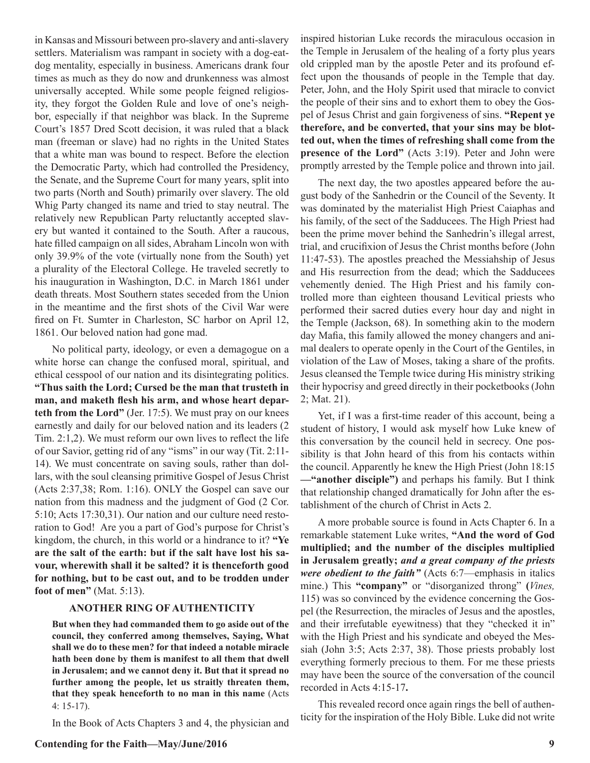in Kansas and Missouri between pro-slavery and anti-slavery settlers. Materialism was rampant in society with a dog-eatdog mentality, especially in business. Americans drank four times as much as they do now and drunkenness was almost universally accepted. While some people feigned religiosity, they forgot the Golden Rule and love of one's neighbor, especially if that neighbor was black. In the Supreme Court's 1857 Dred Scott decision, it was ruled that a black man (freeman or slave) had no rights in the United States that a white man was bound to respect. Before the election the Democratic Party, which had controlled the Presidency, the Senate, and the Supreme Court for many years, split into two parts (North and South) primarily over slavery. The old Whig Party changed its name and tried to stay neutral. The relatively new Republican Party reluctantly accepted slavery but wanted it contained to the South. After a raucous, hate filled campaign on all sides, Abraham Lincoln won with only 39.9% of the vote (virtually none from the South) yet a plurality of the Electoral College. He traveled secretly to his inauguration in Washington, D.C. in March 1861 under death threats. Most Southern states seceded from the Union in the meantime and the first shots of the Civil War were fired on Ft. Sumter in Charleston, SC harbor on April 12, 1861. Our beloved nation had gone mad.

No political party, ideology, or even a demagogue on a white horse can change the confused moral, spiritual, and ethical cesspool of our nation and its disintegrating politics. **"Thus saith the Lord; Cursed be the man that trusteth in man, and maketh flesh his arm, and whose heart departeth from the Lord"** (Jer. 17:5). We must pray on our knees earnestly and daily for our beloved nation and its leaders (2 Tim. 2:1,2). We must reform our own lives to reflect the life of our Savior, getting rid of any "isms" in our way (Tit. 2:11- 14). We must concentrate on saving souls, rather than dollars, with the soul cleansing primitive Gospel of Jesus Christ (Acts 2:37,38; Rom. 1:16). ONLY the Gospel can save our nation from this madness and the judgment of God (2 Cor. 5:10; Acts 17:30,31). Our nation and our culture need restoration to God! Are you a part of God's purpose for Christ's kingdom, the church, in this world or a hindrance to it? **"Ye are the salt of the earth: but if the salt have lost his savour, wherewith shall it be salted? it is thenceforth good for nothing, but to be cast out, and to be trodden under foot of men"** (Mat. 5:13).

#### **ANOTHER RING OF AUTHENTICITY**

**But when they had commanded them to go aside out of the council, they conferred among themselves, Saying, What shall we do to these men? for that indeed a notable miracle hath been done by them is manifest to all them that dwell in Jerusalem; and we cannot deny it. But that it spread no further among the people, let us straitly threaten them, that they speak henceforth to no man in this name** (Acts 4: 15-17).

In the Book of Acts Chapters 3 and 4, the physician and

inspired historian Luke records the miraculous occasion in the Temple in Jerusalem of the healing of a forty plus years old crippled man by the apostle Peter and its profound effect upon the thousands of people in the Temple that day. Peter, John, and the Holy Spirit used that miracle to convict the people of their sins and to exhort them to obey the Gospel of Jesus Christ and gain forgiveness of sins. **"Repent ye therefore, and be converted, that your sins may be blotted out, when the times of refreshing shall come from the presence of the Lord"** (Acts 3:19). Peter and John were promptly arrested by the Temple police and thrown into jail.

The next day, the two apostles appeared before the august body of the Sanhedrin or the Council of the Seventy. It was dominated by the materialist High Priest Caiaphas and his family, of the sect of the Sadducees. The High Priest had been the prime mover behind the Sanhedrin's illegal arrest, trial, and crucifixion of Jesus the Christ months before (John 11:47-53). The apostles preached the Messiahship of Jesus and His resurrection from the dead; which the Sadducees vehemently denied. The High Priest and his family controlled more than eighteen thousand Levitical priests who performed their sacred duties every hour day and night in the Temple (Jackson, 68). In something akin to the modern day Mafia, this family allowed the money changers and animal dealers to operate openly in the Court of the Gentiles, in violation of the Law of Moses, taking a share of the profits. Jesus cleansed the Temple twice during His ministry striking their hypocrisy and greed directly in their pocketbooks (John 2; Mat. 21).

Yet, if I was a first-time reader of this account, being a student of history, I would ask myself how Luke knew of this conversation by the council held in secrecy. One possibility is that John heard of this from his contacts within the council. Apparently he knew the High Priest (John 18:15 **—"another disciple")** and perhaps his family. But I think that relationship changed dramatically for John after the establishment of the church of Christ in Acts 2.

A more probable source is found in Acts Chapter 6. In a remarkable statement Luke writes, **"And the word of God multiplied; and the number of the disciples multiplied in Jerusalem greatly;** *and a great company of the priests were obedient to the faith"* (Acts 6:7—emphasis in italics mine.) This **"company"** or "disorganized throng" **(***Vines,* 115) was so convinced by the evidence concerning the Gospel (the Resurrection, the miracles of Jesus and the apostles, and their irrefutable eyewitness) that they "checked it in" with the High Priest and his syndicate and obeyed the Messiah (John 3:5; Acts 2:37, 38). Those priests probably lost everything formerly precious to them. For me these priests may have been the source of the conversation of the council recorded in Acts 4:15-17**.**

This revealed record once again rings the bell of authenticity for the inspiration of the Holy Bible. Luke did not write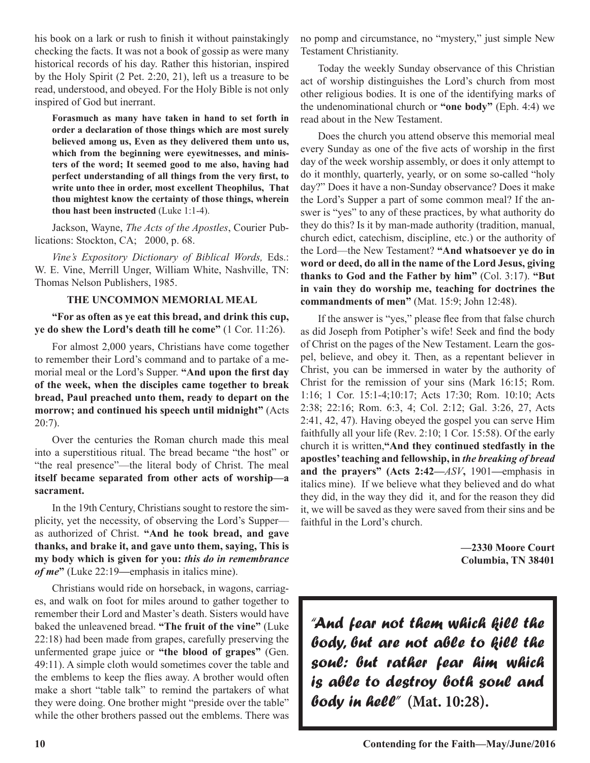his book on a lark or rush to finish it without painstakingly checking the facts. It was not a book of gossip as were many historical records of his day. Rather this historian, inspired by the Holy Spirit (2 Pet. 2:20, 21), left us a treasure to be read, understood, and obeyed. For the Holy Bible is not only inspired of God but inerrant.

**Forasmuch as many have taken in hand to set forth in order a declaration of those things which are most surely believed among us, Even as they delivered them unto us, which from the beginning were eyewitnesses, and ministers of the word; It seemed good to me also, having had perfect understanding of all things from the very first, to write unto thee in order, most excellent Theophilus, That thou mightest know the certainty of those things, wherein thou hast been instructed** (Luke 1:1-4).

Jackson, Wayne, *The Acts of the Apostles*, Courier Publications: Stockton, CA; 2000, p. 68.

*Vine's Expository Dictionary of Biblical Words,* Eds.: W. E. Vine, Merrill Unger, William White, Nashville, TN: Thomas Nelson Publishers, 1985.

#### **THE UNCOMMON MEMORIAL MEAL**

**"For as often as ye eat this bread, and drink this cup, ye do shew the Lord's death till he come"** (1 Cor. 11:26).

For almost 2,000 years, Christians have come together to remember their Lord's command and to partake of a memorial meal or the Lord's Supper. **"And upon the first day of the week, when the disciples came together to break bread, Paul preached unto them, ready to depart on the morrow; and continued his speech until midnight"** (Acts 20:7).

Over the centuries the Roman church made this meal into a superstitious ritual. The bread became "the host" or "the real presence"—the literal body of Christ. The meal **itself became separated from other acts of worship—a sacrament.**

In the 19th Century, Christians sought to restore the simplicity, yet the necessity, of observing the Lord's Supper as authorized of Christ. **"And he took bread, and gave thanks, and brake it, and gave unto them, saying, This is my body which is given for you:** *this do in remembrance of me***"** (Luke 22:19**—**emphasis in italics mine).

Christians would ride on horseback, in wagons, carriages, and walk on foot for miles around to gather together to remember their Lord and Master's death. Sisters would have baked the unleavened bread. **"The fruit of the vine"** (Luke 22:18) had been made from grapes, carefully preserving the unfermented grape juice or **"the blood of grapes"** (Gen. 49:11). A simple cloth would sometimes cover the table and the emblems to keep the flies away. A brother would often make a short "table talk" to remind the partakers of what they were doing. One brother might "preside over the table" while the other brothers passed out the emblems. There was

no pomp and circumstance, no "mystery," just simple New Testament Christianity.

Today the weekly Sunday observance of this Christian act of worship distinguishes the Lord's church from most other religious bodies. It is one of the identifying marks of the undenominational church or **"one body"** (Eph. 4:4) we read about in the New Testament.

Does the church you attend observe this memorial meal every Sunday as one of the five acts of worship in the first day of the week worship assembly, or does it only attempt to do it monthly, quarterly, yearly, or on some so-called "holy day?" Does it have a non-Sunday observance? Does it make the Lord's Supper a part of some common meal? If the answer is "yes" to any of these practices, by what authority do they do this? Is it by man-made authority (tradition, manual, church edict, catechism, discipline, etc.) or the authority of the Lord—the New Testament? **"And whatsoever ye do in word or deed, do all in the name of the Lord Jesus, giving thanks to God and the Father by him"** (Col. 3:17). **"But in vain they do worship me, teaching for doctrines the commandments of men"** (Mat. 15:9; John 12:48).

If the answer is "yes," please flee from that false church as did Joseph from Potipher's wife! Seek and find the body of Christ on the pages of the New Testament. Learn the gospel, believe, and obey it. Then, as a repentant believer in Christ, you can be immersed in water by the authority of Christ for the remission of your sins (Mark 16:15; Rom. 1:16; 1 Cor. 15:1-4;10:17; Acts 17:30; Rom. 10:10; Acts 2:38; 22:16; Rom. 6:3, 4; Col. 2:12; Gal. 3:26, 27, Acts 2:41, 42, 47). Having obeyed the gospel you can serve Him faithfully all your life (Rev. 2:10; 1 Cor. 15:58). Of the early church it is written,**"And they continued stedfastly in the apostles' teaching and fellowship, in** *the breaking of bread* **and the prayers" (Acts 2:42—***ASV***,** 1901**—**emphasis in italics mine). If we believe what they believed and do what they did, in the way they did it, and for the reason they did it, we will be saved as they were saved from their sins and be faithful in the Lord's church.

> **—2330 Moore Court Columbia, TN 38401**

*"And fear not them which kill the body, but are not able to kill the soul: but rather fear him which is able to destroy both soul and body in hell"* **(Mat. 10:28).**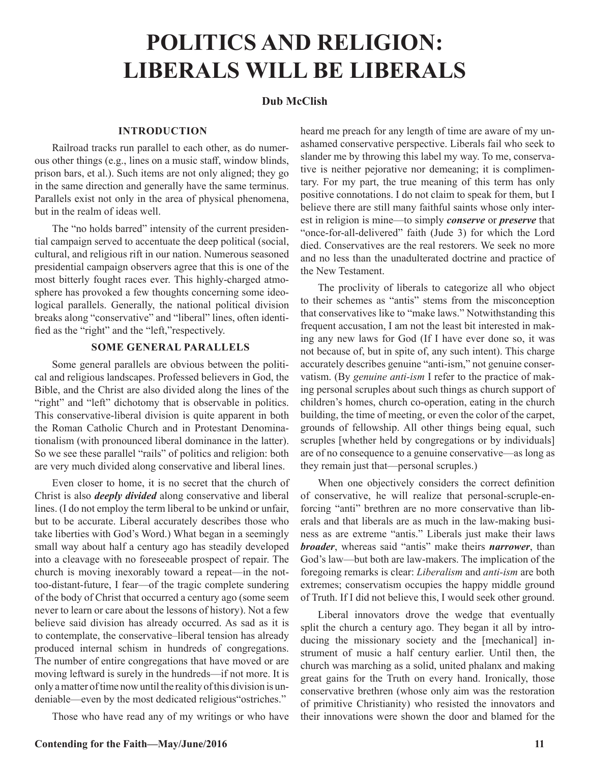## **POLITICS AND RELIGION: LIBERALS WILL BE LIBERALS**

#### **Dub McClish**

#### **INTRODUCTION**

Railroad tracks run parallel to each other, as do numerous other things (e.g., lines on a music staff, window blinds, prison bars, et al.). Such items are not only aligned; they go in the same direction and generally have the same terminus. Parallels exist not only in the area of physical phenomena, but in the realm of ideas well.

The "no holds barred" intensity of the current presidential campaign served to accentuate the deep political (social, cultural, and religious rift in our nation. Numerous seasoned presidential campaign observers agree that this is one of the most bitterly fought races ever. This highly-charged atmosphere has provoked a few thoughts concerning some ideological parallels. Generally, the national political division breaks along "conservative" and "liberal" lines, often identified as the "right" and the "left,"respectively.

#### **SOME GENERAL PARALLELS**

Some general parallels are obvious between the political and religious landscapes. Professed believers in God, the Bible, and the Christ are also divided along the lines of the "right" and "left" dichotomy that is observable in politics. This conservative-liberal division is quite apparent in both the Roman Catholic Church and in Protestant Denominationalism (with pronounced liberal dominance in the latter). So we see these parallel "rails" of politics and religion: both are very much divided along conservative and liberal lines.

Even closer to home, it is no secret that the church of Christ is also *deeply divided* along conservative and liberal lines. (I do not employ the term liberal to be unkind or unfair, but to be accurate. Liberal accurately describes those who take liberties with God's Word.) What began in a seemingly small way about half a century ago has steadily developed into a cleavage with no foreseeable prospect of repair. The church is moving inexorably toward a repeat—in the nottoo-distant-future, I fear—of the tragic complete sundering of the body of Christ that occurred a century ago (some seem never to learn or care about the lessons of history). Not a few believe said division has already occurred. As sad as it is to contemplate, the conservative–liberal tension has already produced internal schism in hundreds of congregations. The number of entire congregations that have moved or are moving leftward is surely in the hundreds—if not more. It is only a matter of time now until the reality of this division is undeniable—even by the most dedicated religious"ostriches."

Those who have read any of my writings or who have

heard me preach for any length of time are aware of my unashamed conservative perspective. Liberals fail who seek to slander me by throwing this label my way. To me, conservative is neither pejorative nor demeaning; it is complimentary. For my part, the true meaning of this term has only positive connotations. I do not claim to speak for them, but I believe there are still many faithful saints whose only interest in religion is mine—to simply *conserve* or *preserve* that "once-for-all-delivered" faith (Jude 3) for which the Lord died. Conservatives are the real restorers. We seek no more and no less than the unadulterated doctrine and practice of the New Testament.

The proclivity of liberals to categorize all who object to their schemes as "antis" stems from the misconception that conservatives like to "make laws." Notwithstanding this frequent accusation, I am not the least bit interested in making any new laws for God (If I have ever done so, it was not because of, but in spite of, any such intent). This charge accurately describes genuine "anti-ism," not genuine conservatism. (By *genuine anti-ism* I refer to the practice of making personal scruples about such things as church support of children's homes, church co-operation, eating in the church building, the time of meeting, or even the color of the carpet, grounds of fellowship. All other things being equal, such scruples [whether held by congregations or by individuals] are of no consequence to a genuine conservative—as long as they remain just that—personal scruples.)

When one objectively considers the correct definition of conservative, he will realize that personal-scruple-enforcing "anti" brethren are no more conservative than liberals and that liberals are as much in the law-making business as are extreme "antis." Liberals just make their laws *broader*, whereas said "antis" make theirs *narrower*, than God's law—but both are law-makers. The implication of the foregoing remarks is clear: *Liberalism* and *anti-ism* are both extremes; conservatism occupies the happy middle ground of Truth. If I did not believe this, I would seek other ground.

Liberal innovators drove the wedge that eventually split the church a century ago. They began it all by introducing the missionary society and the [mechanical] instrument of music a half century earlier. Until then, the church was marching as a solid, united phalanx and making great gains for the Truth on every hand. Ironically, those conservative brethren (whose only aim was the restoration of primitive Christianity) who resisted the innovators and their innovations were shown the door and blamed for the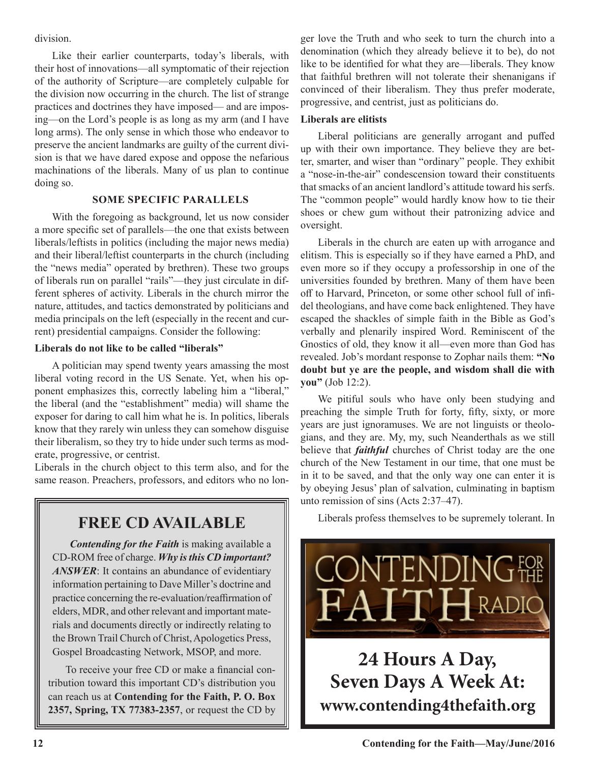division.

Like their earlier counterparts, today's liberals, with their host of innovations—all symptomatic of their rejection of the authority of Scripture—are completely culpable for the division now occurring in the church. The list of strange practices and doctrines they have imposed— and are imposing—on the Lord's people is as long as my arm (and I have long arms). The only sense in which those who endeavor to preserve the ancient landmarks are guilty of the current division is that we have dared expose and oppose the nefarious machinations of the liberals. Many of us plan to continue doing so.

#### **SOME SPECIFIC PARALLELS**

With the foregoing as background, let us now consider a more specific set of parallels—the one that exists between liberals/leftists in politics (including the major news media) and their liberal/leftist counterparts in the church (including the "news media" operated by brethren). These two groups of liberals run on parallel "rails"—they just circulate in different spheres of activity. Liberals in the church mirror the nature, attitudes, and tactics demonstrated by politicians and media principals on the left (especially in the recent and current) presidential campaigns. Consider the following:

#### **Liberals do not like to be called "liberals"**

A politician may spend twenty years amassing the most liberal voting record in the US Senate. Yet, when his opponent emphasizes this, correctly labeling him a "liberal," the liberal (and the "establishment" media) will shame the exposer for daring to call him what he is. In politics, liberals know that they rarely win unless they can somehow disguise their liberalism, so they try to hide under such terms as moderate, progressive, or centrist.

Liberals in the church object to this term also, and for the same reason. Preachers, professors, and editors who no lon-

### **FREE CD AVAILABLE**

*Contending for the Faith* is making available a CD-ROM free of charge. *Why is this CD important?*  ANSWER: It contains an abundance of evidentiary information pertaining to Dave Miller's doctrine and practice concerning the re-evaluation/reaffirmation of elders, MDR, and other relevant and important materials and documents directly or indirectly relating to the Brown Trail Church of Christ, Apologetics Press, Gospel Broadcasting Network, MSOP, and more.

To receive your free CD or make a financial contribution toward this important CD's distribution you can reach us at **Contending for the Faith, P. O. Box 2357, Spring, TX 77383-2357**, or request the CD by ger love the Truth and who seek to turn the church into a denomination (which they already believe it to be), do not like to be identified for what they are—liberals. They know that faithful brethren will not tolerate their shenanigans if convinced of their liberalism. They thus prefer moderate, progressive, and centrist, just as politicians do.

#### **Liberals are elitists**

Liberal politicians are generally arrogant and puffed up with their own importance. They believe they are better, smarter, and wiser than "ordinary" people. They exhibit a "nose-in-the-air" condescension toward their constituents that smacks of an ancient landlord's attitude toward his serfs. The "common people" would hardly know how to tie their shoes or chew gum without their patronizing advice and oversight.

Liberals in the church are eaten up with arrogance and elitism. This is especially so if they have earned a PhD, and even more so if they occupy a professorship in one of the universities founded by brethren. Many of them have been off to Harvard, Princeton, or some other school full of infidel theologians, and have come back enlightened. They have escaped the shackles of simple faith in the Bible as God's verbally and plenarily inspired Word. Reminiscent of the Gnostics of old, they know it all—even more than God has revealed. Job's mordant response to Zophar nails them: **"No doubt but ye are the people, and wisdom shall die with you"** (Job 12:2).

We pitiful souls who have only been studying and preaching the simple Truth for forty, fifty, sixty, or more years are just ignoramuses. We are not linguists or theologians, and they are. My, my, such Neanderthals as we still believe that *faithful* churches of Christ today are the one church of the New Testament in our time, that one must be in it to be saved, and that the only way one can enter it is by obeying Jesus' plan of salvation, culminating in baptism unto remission of sins (Acts 2:37–47).

Liberals profess themselves to be supremely tolerant. In



**www.contending4thefaith.org**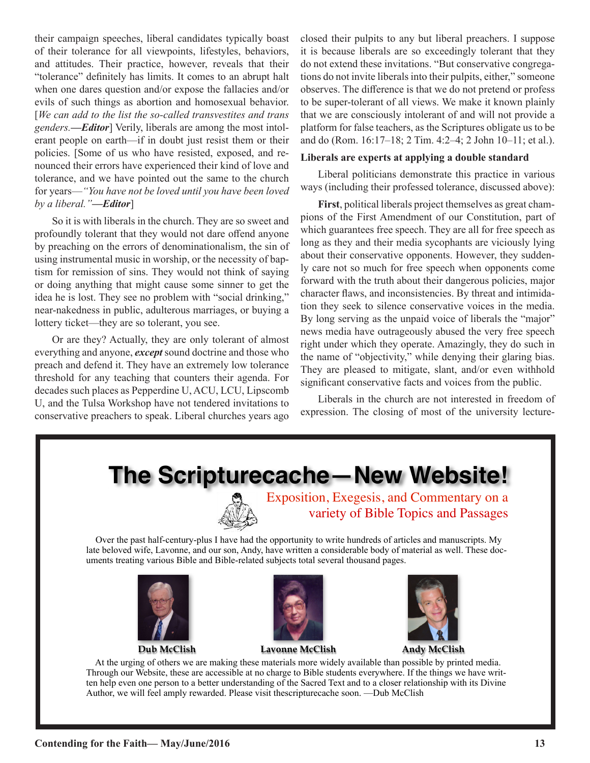their campaign speeches, liberal candidates typically boast of their tolerance for all viewpoints, lifestyles, behaviors, and attitudes. Their practice, however, reveals that their "tolerance" definitely has limits. It comes to an abrupt halt when one dares question and/or expose the fallacies and/or evils of such things as abortion and homosexual behavior. [*We can add to the list the so-called transvestites and trans genders.—Editor*] Verily, liberals are among the most intolerant people on earth—if in doubt just resist them or their policies. [Some of us who have resisted, exposed, and renounced their errors have experienced their kind of love and tolerance, and we have pointed out the same to the church for years—*"You have not be loved until you have been loved by a liberal."—Editor*]

So it is with liberals in the church. They are so sweet and profoundly tolerant that they would not dare offend anyone by preaching on the errors of denominationalism, the sin of using instrumental music in worship, or the necessity of baptism for remission of sins. They would not think of saying or doing anything that might cause some sinner to get the idea he is lost. They see no problem with "social drinking," near-nakedness in public, adulterous marriages, or buying a lottery ticket—they are so tolerant, you see.

Or are they? Actually, they are only tolerant of almost everything and anyone, *except* sound doctrine and those who preach and defend it. They have an extremely low tolerance threshold for any teaching that counters their agenda. For decades such places as Pepperdine U, ACU, LCU, Lipscomb U, and the Tulsa Workshop have not tendered invitations to conservative preachers to speak. Liberal churches years ago

closed their pulpits to any but liberal preachers. I suppose it is because liberals are so exceedingly tolerant that they do not extend these invitations. "But conservative congregations do not invite liberals into their pulpits, either," someone observes. The difference is that we do not pretend or profess to be super-tolerant of all views. We make it known plainly that we are consciously intolerant of and will not provide a platform for false teachers, as the Scriptures obligate us to be and do (Rom. 16:17–18; 2 Tim. 4:2–4; 2 John 10–11; et al.).

#### **Liberals are experts at applying a double standard**

Liberal politicians demonstrate this practice in various ways (including their professed tolerance, discussed above):

**First**, political liberals project themselves as great champions of the First Amendment of our Constitution, part of which guarantees free speech. They are all for free speech as long as they and their media sycophants are viciously lying about their conservative opponents. However, they suddenly care not so much for free speech when opponents come forward with the truth about their dangerous policies, major character flaws, and inconsistencies. By threat and intimidation they seek to silence conservative voices in the media. By long serving as the unpaid voice of liberals the "major" news media have outrageously abused the very free speech right under which they operate. Amazingly, they do such in the name of "objectivity," while denying their glaring bias. They are pleased to mitigate, slant, and/or even withhold significant conservative facts and voices from the public.

Liberals in the church are not interested in freedom of expression. The closing of most of the university lecture-

# **The Scripturecache—New Website!**



Exposition, Exegesis, and Commentary on a variety of Bible Topics and Passages

 Over the past half-century-plus I have had the opportunity to write hundreds of articles and manuscripts. My late beloved wife, Lavonne, and our son, Andy, have written a considerable body of material as well. These documents treating various Bible and Bible-related subjects total several thousand pages.





**Dub McClish Lavonne McClish Andy McClish**



 At the urging of others we are making these materials more widely available than possible by printed media. Through our Website, these are accessible at no charge to Bible students everywhere. If the things we have written help even one person to a better understanding of the Sacred Text and to a closer relationship with its Divine Author, we will feel amply rewarded. Please visit thescripturecache soon. —Dub McClish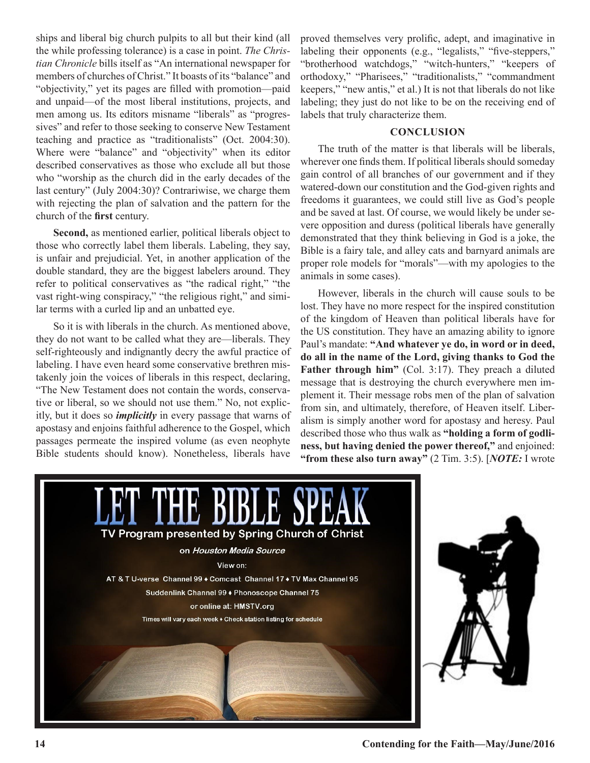ships and liberal big church pulpits to all but their kind (all the while professing tolerance) is a case in point. *The Christian Chronicle* bills itself as "An international newspaper for members of churches of Christ." It boasts of its "balance" and "objectivity," yet its pages are filled with promotion—paid and unpaid—of the most liberal institutions, projects, and men among us. Its editors misname "liberals" as "progressives" and refer to those seeking to conserve New Testament teaching and practice as "traditionalists" (Oct. 2004:30). Where were "balance" and "objectivity" when its editor described conservatives as those who exclude all but those who "worship as the church did in the early decades of the last century" (July 2004:30)? Contrariwise, we charge them with rejecting the plan of salvation and the pattern for the church of the **first** century.

**Second,** as mentioned earlier, political liberals object to those who correctly label them liberals. Labeling, they say, is unfair and prejudicial. Yet, in another application of the double standard, they are the biggest labelers around. They refer to political conservatives as "the radical right," "the vast right-wing conspiracy," "the religious right," and similar terms with a curled lip and an unbatted eye.

So it is with liberals in the church. As mentioned above, they do not want to be called what they are—liberals. They self-righteously and indignantly decry the awful practice of labeling. I have even heard some conservative brethren mistakenly join the voices of liberals in this respect, declaring, "The New Testament does not contain the words, conservative or liberal, so we should not use them." No, not explicitly, but it does so *implicitly* in every passage that warns of apostasy and enjoins faithful adherence to the Gospel, which passages permeate the inspired volume (as even neophyte Bible students should know). Nonetheless, liberals have proved themselves very prolific, adept, and imaginative in labeling their opponents (e.g., "legalists," "five-steppers," "brotherhood watchdogs," "witch-hunters," "keepers of orthodoxy," "Pharisees," "traditionalists," "commandment keepers," "new antis," et al.) It is not that liberals do not like labeling; they just do not like to be on the receiving end of labels that truly characterize them.

#### **CONCLUSION**

The truth of the matter is that liberals will be liberals, wherever one finds them. If political liberals should someday gain control of all branches of our government and if they watered-down our constitution and the God-given rights and freedoms it guarantees, we could still live as God's people and be saved at last. Of course, we would likely be under severe opposition and duress (political liberals have generally demonstrated that they think believing in God is a joke, the Bible is a fairy tale, and alley cats and barnyard animals are proper role models for "morals"—with my apologies to the animals in some cases).

However, liberals in the church will cause souls to be lost. They have no more respect for the inspired constitution of the kingdom of Heaven than political liberals have for the US constitution. They have an amazing ability to ignore Paul's mandate: **"And whatever ye do, in word or in deed, do all in the name of the Lord, giving thanks to God the Father through him"** (Col. 3:17). They preach a diluted message that is destroying the church everywhere men implement it. Their message robs men of the plan of salvation from sin, and ultimately, therefore, of Heaven itself. Liberalism is simply another word for apostasy and heresy. Paul described those who thus walk as **"holding a form of godliness, but having denied the power thereof,"** and enjoined: **"from these also turn away"** (2 Tim. 3:5). [*NOTE:* I wrote

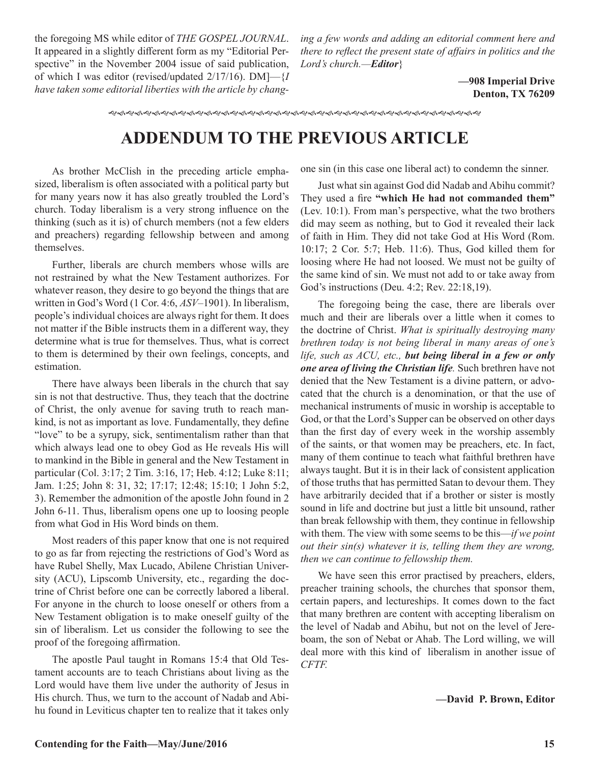the foregoing MS while editor of *THE GOSPEL JOURNAL*. It appeared in a slightly different form as my "Editorial Perspective" in the November 2004 issue of said publication, of which I was editor (revised/updated 2/17/16). DM]—{*I have taken some editorial liberties with the article by chang-* *ing a few words and adding an editorial comment here and there to reflect the present state of affairs in politics and the Lord's church.—Editor*}

> **—908 Imperial Drive Denton, TX 76209**

gfgfgfgfgfgfgfgfgfgfgfgfgfgfgfgfgfgfgfgfgfg

### **ADDENDUM TO THE PREVIOUS ARTICLE**

As brother McClish in the preceding article emphasized, liberalism is often associated with a political party but for many years now it has also greatly troubled the Lord's church. Today liberalism is a very strong influence on the thinking (such as it is) of church members (not a few elders and preachers) regarding fellowship between and among themselves.

Further, liberals are church members whose wills are not restrained by what the New Testament authorizes. For whatever reason, they desire to go beyond the things that are written in God's Word (1 Cor. 4:6, *ASV*–1901). In liberalism, people's individual choices are always right for them. It does not matter if the Bible instructs them in a different way, they determine what is true for themselves. Thus, what is correct to them is determined by their own feelings, concepts, and estimation.

There have always been liberals in the church that say sin is not that destructive. Thus, they teach that the doctrine of Christ, the only avenue for saving truth to reach mankind, is not as important as love. Fundamentally, they define "love" to be a syrupy, sick, sentimentalism rather than that which always lead one to obey God as He reveals His will to mankind in the Bible in general and the New Testament in particular (Col. 3:17; 2 Tim. 3:16, 17; Heb. 4:12; Luke 8:11; Jam. 1:25; John 8: 31, 32; 17:17; 12:48; 15:10; 1 John 5:2, 3). Remember the admonition of the apostle John found in 2 John 6-11. Thus, liberalism opens one up to loosing people from what God in His Word binds on them.

Most readers of this paper know that one is not required to go as far from rejecting the restrictions of God's Word as have Rubel Shelly, Max Lucado, Abilene Christian University (ACU), Lipscomb University, etc., regarding the doctrine of Christ before one can be correctly labored a liberal. For anyone in the church to loose oneself or others from a New Testament obligation is to make oneself guilty of the sin of liberalism. Let us consider the following to see the proof of the foregoing affirmation.

The apostle Paul taught in Romans 15:4 that Old Testament accounts are to teach Christians about living as the Lord would have them live under the authority of Jesus in His church. Thus, we turn to the account of Nadab and Abihu found in Leviticus chapter ten to realize that it takes only one sin (in this case one liberal act) to condemn the sinner.

Just what sin against God did Nadab and Abihu commit? They used a fire **"which He had not commanded them"** (Lev. 10:1). From man's perspective, what the two brothers did may seem as nothing, but to God it revealed their lack of faith in Him. They did not take God at His Word (Rom. 10:17; 2 Cor. 5:7; Heb. 11:6). Thus, God killed them for loosing where He had not loosed. We must not be guilty of the same kind of sin. We must not add to or take away from God's instructions (Deu. 4:2; Rev. 22:18,19).

The foregoing being the case, there are liberals over much and their are liberals over a little when it comes to the doctrine of Christ. *What is spiritually destroying many brethren today is not being liberal in many areas of one's life, such as ACU, etc., but being liberal in a few or only one area of living the Christian life.* Such brethren have not denied that the New Testament is a divine pattern, or advocated that the church is a denomination, or that the use of mechanical instruments of music in worship is acceptable to God, or that the Lord's Supper can be observed on other days than the first day of every week in the worship assembly of the saints, or that women may be preachers, etc. In fact, many of them continue to teach what faithful brethren have always taught. But it is in their lack of consistent application of those truths that has permitted Satan to devour them. They have arbitrarily decided that if a brother or sister is mostly sound in life and doctrine but just a little bit unsound, rather than break fellowship with them, they continue in fellowship with them. The view with some seems to be this—*if we point out their sin(s) whatever it is, telling them they are wrong, then we can continue to fellowship them.*

We have seen this error practised by preachers, elders, preacher training schools, the churches that sponsor them, certain papers, and lectureships. It comes down to the fact that many brethren are content with accepting liberalism on the level of Nadab and Abihu, but not on the level of Jereboam, the son of Nebat or Ahab. The Lord willing, we will deal more with this kind of liberalism in another issue of *CFTF.*

**—David P. Brown, Editor**